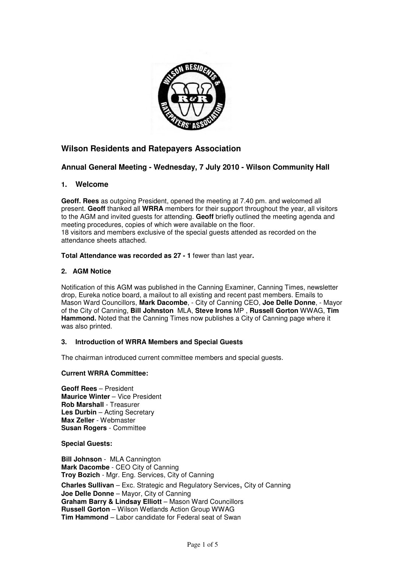

# **Wilson Residents and Ratepayers Association**

## **Annual General Meeting - Wednesday, 7 July 2010 - Wilson Community Hall**

## **1. Welcome**

**Geoff. Rees** as outgoing President, opened the meeting at 7.40 pm. and welcomed all present. **Geoff** thanked all **WRRA** members for their support throughout the year, all visitors to the AGM and invited guests for attending. **Geoff** briefly outlined the meeting agenda and meeting procedures, copies of which were available on the floor. 18 visitors and members exclusive of the special guests attended as recorded on the attendance sheets attached.

## **Total Attendance was recorded as 27 - 1** fewer than last year**.**

## **2. AGM Notice**

Notification of this AGM was published in the Canning Examiner, Canning Times, newsletter drop, Eureka notice board, a mailout to all existing and recent past members. Emails to Mason Ward Councillors, **Mark Dacombe**, - City of Canning CEO, **Joe Delle Donne**, - Mayor of the City of Canning, **Bill Johnston** MLA, **Steve Irons** MP , **Russell Gorton** WWAG, **Tim Hammond.** Noted that the Canning Times now publishes a City of Canning page where it was also printed.

## **3. Introduction of WRRA Members and Special Guests**

The chairman introduced current committee members and special guests.

## **Current WRRA Committee:**

**Geoff Rees** – President **Maurice Winter** – Vice President **Rob Marshall** - Treasurer **Les Durbin** – Acting Secretary **Max Zeller** - Webmaster **Susan Rogers** - Committee

**Special Guests:** 

**Bill Johnson** - MLA Cannington **Mark Dacombe** - CEO City of Canning **Troy Bozich** - Mgr. Eng. Services, City of Canning **Charles Sullivan** – Exc. Strategic and Regulatory Services, City of Canning **Joe Delle Donne** – Mayor, City of Canning **Graham Barry & Lindsay Elliott** – Mason Ward Councillors **Russell Gorton** – Wilson Wetlands Action Group WWAG **Tim Hammond** – Labor candidate for Federal seat of Swan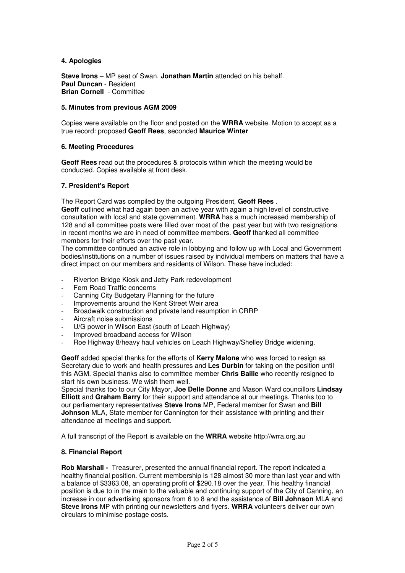#### **4. Apologies**

**Steve Irons** – MP seat of Swan. **Jonathan Martin** attended on his behalf. **Paul Duncan** - Resident **Brian Cornell** - Committee

## **5. Minutes from previous AGM 2009**

Copies were available on the floor and posted on the **WRRA** website. Motion to accept as a true record: proposed **Geoff Rees**, seconded **Maurice Winter**

#### **6. Meeting Procedures**

**Geoff Rees** read out the procedures & protocols within which the meeting would be conducted. Copies available at front desk.

#### **7. President's Report**

The Report Card was compiled by the outgoing President, **Geoff Rees** .

**Geoff** outlined what had again been an active year with again a high level of constructive consultation with local and state government. **WRRA** has a much increased membership of 128 and all committee posts were filled over most of the past year but with two resignations in recent months we are in need of committee members. **Geoff** thanked all committee members for their efforts over the past year.

The committee continued an active role in lobbying and follow up with Local and Government bodies/institutions on a number of issues raised by individual members on matters that have a direct impact on our members and residents of Wilson. These have included:

- Riverton Bridge Kiosk and Jetty Park redevelopment
- Fern Road Traffic concerns
- Canning City Budgetary Planning for the future
- Improvements around the Kent Street Weir area
- Broadwalk construction and private land resumption in CRRP
- Aircraft noise submissions
- U/G power in Wilson East (south of Leach Highway)
- Improved broadband access for Wilson
- Roe Highway 8/heavy haul vehicles on Leach Highway/Shelley Bridge widening.

**Geoff** added special thanks for the efforts of **Kerry Malone** who was forced to resign as Secretary due to work and health pressures and **Les Durbin** for taking on the position until this AGM. Special thanks also to committee member **Chris Bailie** who recently resigned to start his own business. We wish them well.

Special thanks too to our City Mayor, **Joe Delle Donne** and Mason Ward councillors **Lindsay Elliott** and **Graham Barry** for their support and attendance at our meetings. Thanks too to our parliamentary representatives **Steve Irons** MP, Federal member for Swan and **Bill Johnson** MLA, State member for Cannington for their assistance with printing and their attendance at meetings and support.

A full transcript of the Report is available on the **WRRA** website http://wrra.org.au

## **8. Financial Report**

**Rob Marshall -** Treasurer, presented the annual financial report. The report indicated a healthy financial position. Current membership is 128 almost 30 more than last year and with a balance of \$3363.08, an operating profit of \$290.18 over the year. This healthy financial position is due to in the main to the valuable and continuing support of the City of Canning, an increase in our advertising sponsors from 6 to 8 and the assistance of **Bill Johnson** MLA and **Steve Irons** MP with printing our newsletters and flyers. **WRRA** volunteers deliver our own circulars to minimise postage costs.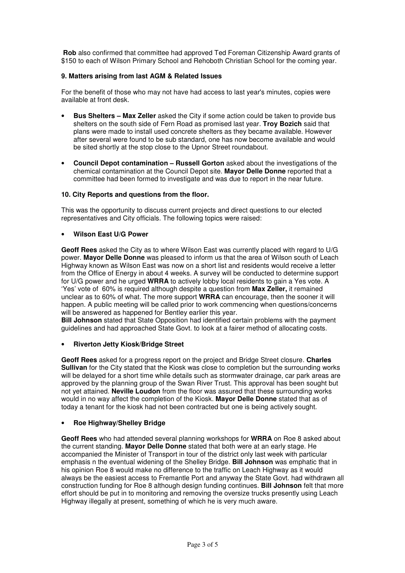**Rob** also confirmed that committee had approved Ted Foreman Citizenship Award grants of \$150 to each of Wilson Primary School and Rehoboth Christian School for the coming year.

## **9. Matters arising from last AGM & Related Issues**

For the benefit of those who may not have had access to last year's minutes, copies were available at front desk.

- **Bus Shelters Max Zeller** asked the City if some action could be taken to provide bus shelters on the south side of Fern Road as promised last year. **Troy Bozich** said that plans were made to install used concrete shelters as they became available. However after several were found to be sub standard, one has now become available and would be sited shortly at the stop close to the Upnor Street roundabout.
- **Council Depot contamination Russell Gorton** asked about the investigations of the chemical contamination at the Council Depot site. **Mayor Delle Donne** reported that a committee had been formed to investigate and was due to report in the near future.

## **10. City Reports and questions from the floor.**

This was the opportunity to discuss current projects and direct questions to our elected representatives and City officials. The following topics were raised:

## • **Wilson East U/G Power**

**Geoff Rees** asked the City as to where Wilson East was currently placed with regard to U/G power. **Mayor Delle Donne** was pleased to inform us that the area of Wilson south of Leach Highway known as Wilson East was now on a short list and residents would receive a letter from the Office of Energy in about 4 weeks. A survey will be conducted to determine support for U/G power and he urged **WRRA** to actively lobby local residents to gain a Yes vote. A 'Yes' vote of 60% is required although despite a question from **Max Zeller,** it remained unclear as to 60% of what. The more support **WRRA** can encourage, then the sooner it will happen. A public meeting will be called prior to work commencing when questions/concerns will be answered as happened for Bentley earlier this year.

**Bill Johnson** stated that State Opposition had identified certain problems with the payment guidelines and had approached State Govt. to look at a fairer method of allocating costs.

## • **Riverton Jetty Kiosk/Bridge Street**

**Geoff Rees** asked for a progress report on the project and Bridge Street closure. **Charles Sullivan** for the City stated that the Kiosk was close to completion but the surrounding works will be delayed for a short time while details such as stormwater drainage, car park areas are approved by the planning group of the Swan River Trust. This approval has been sought but not yet attained. **Neville Loudon** from the floor was assured that these surrounding works would in no way affect the completion of the Kiosk. **Mayor Delle Donne** stated that as of today a tenant for the kiosk had not been contracted but one is being actively sought.

## • **Roe Highway/Shelley Bridge**

**Geoff Rees** who had attended several planning workshops for **WRRA** on Roe 8 asked about the current standing. **Mayor Delle Donne** stated that both were at an early stage. He accompanied the Minister of Transport in tour of the district only last week with particular emphasis n the eventual widening of the Shelley Bridge. **Bill Johnson** was emphatic that in his opinion Roe 8 would make no difference to the traffic on Leach Highway as it would always be the easiest access to Fremantle Port and anyway the State Govt. had withdrawn all construction funding for Roe 8 although design funding continues. **Bill Johnson** felt that more effort should be put in to monitoring and removing the oversize trucks presently using Leach Highway illegally at present, something of which he is very much aware.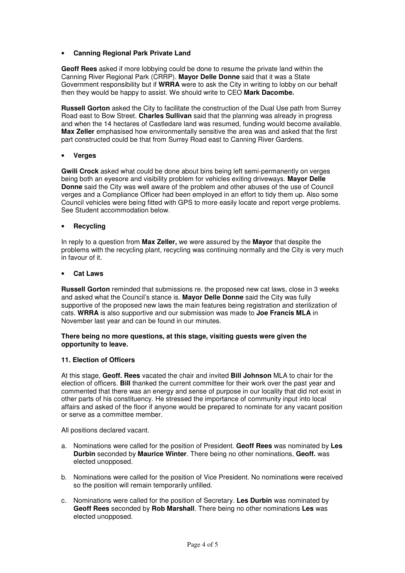## • **Canning Regional Park Private Land**

**Geoff Rees** asked if more lobbying could be done to resume the private land within the Canning River Regional Park (CRRP). **Mayor Delle Donne** said that it was a State Government responsibility but if **WRRA** were to ask the City in writing to lobby on our behalf then they would be happy to assist. We should write to CEO **Mark Dacombe.** 

**Russell Gorton** asked the City to facilitate the construction of the Dual Use path from Surrey Road east to Bow Street. **Charles Sullivan** said that the planning was already in progress and when the 14 hectares of Castledare land was resumed, funding would become available. **Max Zeller** emphasised how environmentally sensitive the area was and asked that the first part constructed could be that from Surrey Road east to Canning River Gardens.

#### • **Verges**

**Gwili Crock** asked what could be done about bins being left semi-permanently on verges being both an eyesore and visibility problem for vehicles exiting driveways. **Mayor Delle Donne** said the City was well aware of the problem and other abuses of the use of Council verges and a Compliance Officer had been employed in an effort to tidy them up. Also some Council vehicles were being fitted with GPS to more easily locate and report verge problems. See Student accommodation below.

#### • **Recycling**

In reply to a question from **Max Zeller,** we were assured by the **Mayor** that despite the problems with the recycling plant, recycling was continuing normally and the City is very much in favour of it.

#### • **Cat Laws**

**Russell Gorton** reminded that submissions re. the proposed new cat laws, close in 3 weeks and asked what the Council's stance is. **Mayor Delle Donne** said the City was fully supportive of the proposed new laws the main features being registration and sterilization of cats. **WRRA** is also supportive and our submission was made to **Joe Francis MLA** in November last year and can be found in our minutes.

#### **There being no more questions, at this stage, visiting guests were given the opportunity to leave.**

#### **11. Election of Officers**

At this stage, **Geoff. Rees** vacated the chair and invited **Bill Johnson** MLA to chair for the election of officers. **Bill** thanked the current committee for their work over the past year and commented that there was an energy and sense of purpose in our locality that did not exist in other parts of his constituency. He stressed the importance of community input into local affairs and asked of the floor if anyone would be prepared to nominate for any vacant position or serve as a committee member.

All positions declared vacant.

- a. Nominations were called for the position of President. **Geoff Rees** was nominated by **Les Durbin** seconded by **Maurice Winter**. There being no other nominations, **Geoff.** was elected unopposed.
- b. Nominations were called for the position of Vice President. No nominations were received so the position will remain temporarily unfilled.
- c. Nominations were called for the position of Secretary. **Les Durbin** was nominated by **Geoff Rees** seconded by **Rob Marshall**. There being no other nominations **Les** was elected unopposed.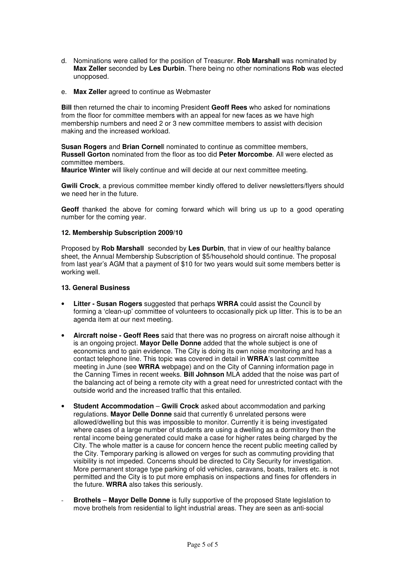- d. Nominations were called for the position of Treasurer. **Rob Marshall** was nominated by **Max Zeller** seconded by **Les Durbin**. There being no other nominations **Rob** was elected unopposed.
- e. **Max Zeller** agreed to continue as Webmaster

**Bill** then returned the chair to incoming President **Geoff Rees** who asked for nominations from the floor for committee members with an appeal for new faces as we have high membership numbers and need 2 or 3 new committee members to assist with decision making and the increased workload.

**Susan Rogers** and **Brian Cornel**l nominated to continue as committee members, **Russell Gorton** nominated from the floor as too did **Peter Morcombe**. All were elected as committee members.

**Maurice Winter** will likely continue and will decide at our next committee meeting.

**Gwili Crock**, a previous committee member kindly offered to deliver newsletters/flyers should we need her in the future.

**Geoff** thanked the above for coming forward which will bring us up to a good operating number for the coming year.

#### **12. Membership Subscription 2009/10**

Proposed by **Rob Marshall** seconded by **Les Durbin**, that in view of our healthy balance sheet, the Annual Membership Subscription of \$5/household should continue. The proposal from last year's AGM that a payment of \$10 for two years would suit some members better is working well.

## **13. General Business**

- **Litter Susan Rogers** suggested that perhaps **WRRA** could assist the Council by forming a 'clean-up' committee of volunteers to occasionally pick up litter. This is to be an agenda item at our next meeting.
- **Aircraft noise Geoff Rees** said that there was no progress on aircraft noise although it is an ongoing project. **Mayor Delle Donne** added that the whole subject is one of economics and to gain evidence. The City is doing its own noise monitoring and has a contact telephone line. This topic was covered in detail in **WRRA**'s last committee meeting in June (see **WRRA** webpage) and on the City of Canning information page in the Canning Times in recent weeks. **Bill Johnson** MLA added that the noise was part of the balancing act of being a remote city with a great need for unrestricted contact with the outside world and the increased traffic that this entailed.
- **Student Accommodation Gwili Crock** asked about accommodation and parking regulations. **Mayor Delle Donne** said that currently 6 unrelated persons were allowed/dwelling but this was impossible to monitor. Currently it is being investigated where cases of a large number of students are using a dwelling as a dormitory then the rental income being generated could make a case for higher rates being charged by the City. The whole matter is a cause for concern hence the recent public meeting called by the City. Temporary parking is allowed on verges for such as commuting providing that visibility is not impeded. Concerns should be directed to City Security for investigation. More permanent storage type parking of old vehicles, caravans, boats, trailers etc. is not permitted and the City is to put more emphasis on inspections and fines for offenders in the future. **WRRA** also takes this seriously.
- **Brothels Mayor Delle Donne** is fully supportive of the proposed State legislation to move brothels from residential to light industrial areas. They are seen as anti-social